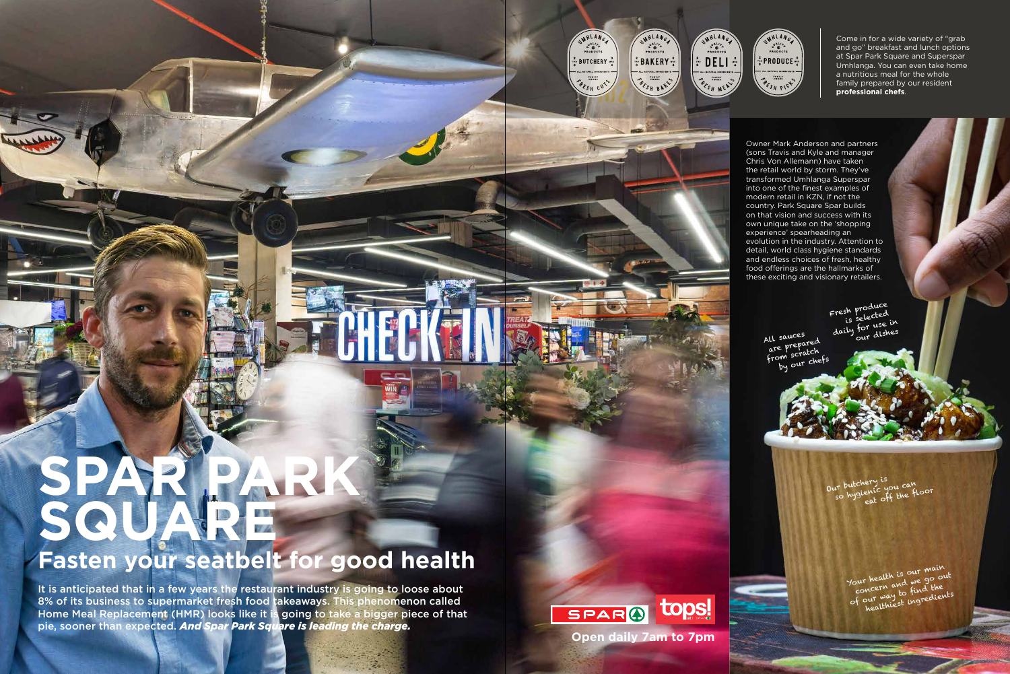Fresh produce resh prected<br>is selected daily for use in our dishes

All sauces all same rared are r chatch by our chef

> Your health is our main four health is our out<br>concern and we go out concern and find the our way to fine dients

Our butchery is<br>so hygienic you can o hysienic you the floor

## **SPAR PARK SQUARE**

## **Fasten your seatbelt for good health**

Come in for a wide variety of "grab" and go" breakfast and lunch options at Spar Park Square and Superspar Umhlanga. You can even take home a nutritious meal for the whole family prepared by our resident **professional chefs**.

It is anticipated that in a few years the restaurant industry is going to loose about 8% of its business to supermarket fresh food takeaways. This phenomenon called Home Meal Replacement (HMR) looks like it is going to take a bigger piece of that pie, sooner than expected. *And Spar Park Square is leading the charge.*

Owner Mark Anderson and partners (sons Travis and Kyle and manager Chris Von Allemann) have taken the retail world by storm. They've transformed Umhlanga Superspar into one of the finest examples of modern retail in KZN, if not the country. Park Square Spar builds on that vision and success with its own unique take on the 'shopping experience' spearheading an evolution in the industry. Attention to detail, world class hygiene standards and endless choices of fresh, healthy food offerings are the hallmarks of these exciting and visionary retailers.





WHLANG

 $\alpha^{v_{\mathsf{A}}^{L/2}}$ <br>PRODUCT:

 $\frac{2}{100}$  BAKERY  $\frac{0}{4}$ 

**FAMILY**<br>OWNED PESH BAN

UMHLANG

 $\alpha^{v^{hL/2}}$ 

**BUTCHERY** 

**FAMILY**<br>OWNED

PESH CUT